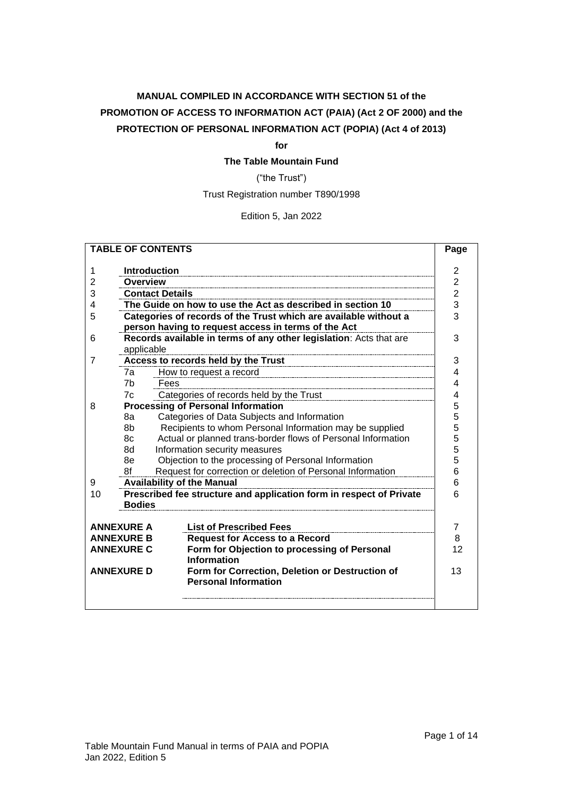# **MANUAL COMPILED IN ACCORDANCE WITH SECTION 51 of the PROMOTION OF ACCESS TO INFORMATION ACT (PAIA) (Act 2 OF 2000) and the PROTECTION OF PERSONAL INFORMATION ACT (POPIA) (Act 4 of 2013)**

#### **for**

**The Table Mountain Fund**

("the Trust")

Trust Registration number T890/1998

Edition 5, Jan 2022

| Introduction<br>1<br>Overview<br>2<br>3<br><b>Contact Details</b><br>The Guide on how to use the Act as described in section 10<br>4<br>Categories of records of the Trust which are available without a<br>5<br>person having to request access in terms of the Act<br>Records available in terms of any other legislation: Acts that are<br>6                                                                                                                                                                                                                            | $\overline{2}$<br>$\overline{c}$<br>$\overline{c}$<br>3<br>3<br>3 |  |
|----------------------------------------------------------------------------------------------------------------------------------------------------------------------------------------------------------------------------------------------------------------------------------------------------------------------------------------------------------------------------------------------------------------------------------------------------------------------------------------------------------------------------------------------------------------------------|-------------------------------------------------------------------|--|
| applicable                                                                                                                                                                                                                                                                                                                                                                                                                                                                                                                                                                 |                                                                   |  |
| Access to records held by the Trust<br>7<br>7a<br>How to request a record<br>7 <sub>b</sub><br>Fees<br>Categories of records held by the Trust<br>7c<br><b>Processing of Personal Information</b><br>8<br>Categories of Data Subjects and Information<br>8а<br>8b<br>Recipients to whom Personal Information may be supplied<br>Actual or planned trans-border flows of Personal Information<br>8c<br>Information security measures<br>8d<br>Objection to the processing of Personal Information<br>8e<br>Request for correction or deletion of Personal Information<br>8f | 3<br>4<br>4<br>4<br>5<br>5<br>5<br>5<br>5<br>5<br>6               |  |
| 6<br><b>Availability of the Manual</b><br>9<br>Prescribed fee structure and application form in respect of Private<br>6<br>10<br><b>Bodies</b>                                                                                                                                                                                                                                                                                                                                                                                                                             |                                                                   |  |
| <b>List of Prescribed Fees</b><br><b>ANNEXURE A</b><br><b>ANNEXURE B</b><br><b>Request for Access to a Record</b><br>Form for Objection to processing of Personal<br><b>ANNEXURE C</b><br><b>Information</b><br>Form for Correction, Deletion or Destruction of<br><b>ANNEXURE D</b><br><b>Personal Information</b>                                                                                                                                                                                                                                                        | 7<br>8<br>12<br>13                                                |  |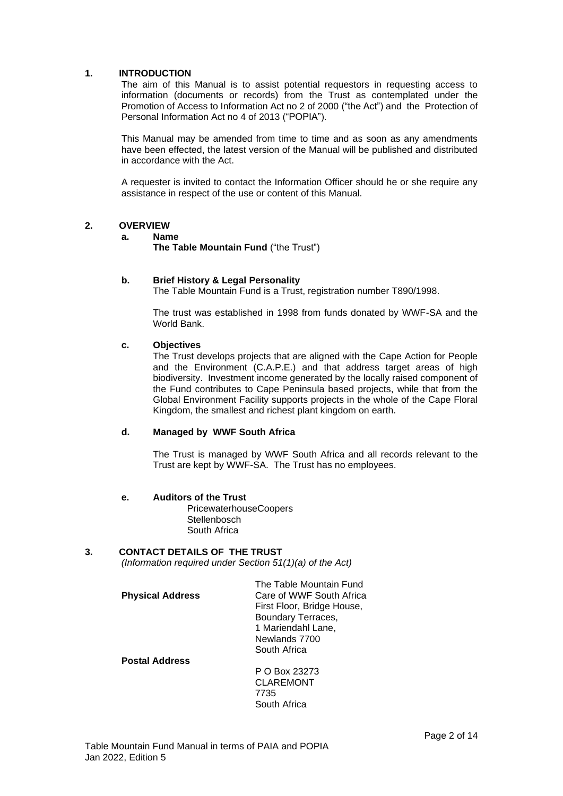### <span id="page-1-0"></span>**1. INTRODUCTION**

The aim of this Manual is to assist potential requestors in requesting access to information (documents or records) from the Trust as contemplated under the Promotion of Access to Information Act no 2 of 2000 ("the Act") and the Protection of Personal Information Act no 4 of 2013 ("POPIA").

This Manual may be amended from time to time and as soon as any amendments have been effected, the latest version of the Manual will be published and distributed in accordance with the Act.

A requester is invited to contact the Information Officer should he or she require any assistance in respect of the use or content of this Manual.

#### <span id="page-1-1"></span>**2. OVERVIEW**

#### **a. Name**

**The Table Mountain Fund** ("the Trust")

#### **b. Brief History & Legal Personality**

The Table Mountain Fund is a Trust, registration number T890/1998.

The trust was established in 1998 from funds donated by WWF-SA and the World Bank.

#### **c. Objectives**

The Trust develops projects that are aligned with the Cape Action for People and the Environment (C.A.P.E.) and that address target areas of high biodiversity. Investment income generated by the locally raised component of the Fund contributes to Cape Peninsula based projects, while that from the Global Environment Facility supports projects in the whole of the Cape Floral Kingdom, the smallest and richest plant kingdom on earth.

#### **d. Managed by WWF South Africa**

The Trust is managed by WWF South Africa and all records relevant to the Trust are kept by WWF-SA. The Trust has no employees.

#### **e. Auditors of the Trust**

PricewaterhouseCoopers **Stellenbosch** South Africa

### <span id="page-1-2"></span>**3. CONTACT DETAILS OF THE TRUST**

*(Information required under Section 51(1)(a) of the Act)*

|                         | The Table Mountain Fund    |
|-------------------------|----------------------------|
| <b>Physical Address</b> | Care of WWF South Africa   |
|                         | First Floor, Bridge House, |
|                         | Boundary Terraces,         |
|                         | 1 Mariendahl Lane,         |
|                         | Newlands 7700              |
|                         | South Africa               |
|                         |                            |

**Postal Address**

P O Box 23273 CLAREMONT 7735 South Africa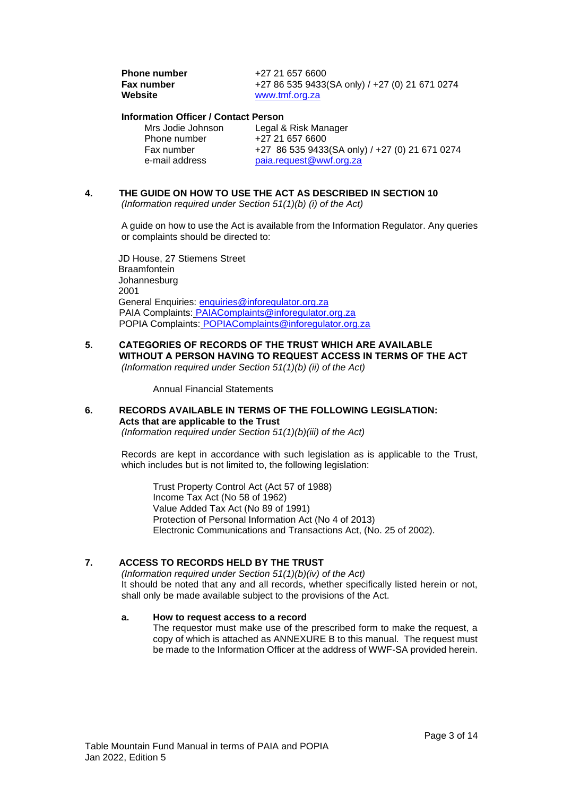| <b>Phone number</b> | +27 21 657 6600                                |
|---------------------|------------------------------------------------|
| Fax number          | +27 86 535 9433(SA only) / +27 (0) 21 671 0274 |
| Website             | www.tmf.org.za                                 |

#### **Information Officer / Contact Person**

| Mrs Jodie Johnson | Legal & Risk Manager                           |
|-------------------|------------------------------------------------|
| Phone number      | +27 21 657 6600                                |
| Fax number        | +27 86 535 9433(SA only) / +27 (0) 21 671 0274 |
| e-mail address    | paia.request@wwf.org.za                        |

# <span id="page-2-0"></span>**4. THE GUIDE ON HOW TO USE THE ACT AS DESCRIBED IN SECTION 10**

*(Information required under Section 51(1)(b) (i) of the Act)*

A guide on how to use the Act is available from the Information Regulator. Any queries or complaints should be directed to:

JD House, 27 Stiemens Street **Braamfontein** Johannesburg 2001 General Enquiries: [enquiries@inforegulator.org.za](mailto:enquiries@inforegulator.org.za) PAIA Complaints: [PAIAComplaints@inforegulator.org.za](mailto:PAIAComplaints@inforegulator.org.za) POPIA Complaints: POPIAComplaints@inforegulator.org.za

**5. CATEGORIES OF RECORDS OF THE TRUST WHICH ARE AVAILABLE WITHOUT A PERSON HAVING TO REQUEST ACCESS IN TERMS OF THE ACT** *(Information required under Section 51(1)(b) (ii) of the Act)*

Annual Financial Statements

### <span id="page-2-1"></span>**6. RECORDS AVAILABLE IN TERMS OF THE FOLLOWING LEGISLATION: Acts that are applicable to the Trust**

*(Information required under Section 51(1)(b)(iii) of the Act)*

Records are kept in accordance with such legislation as is applicable to the Trust, which includes but is not limited to, the following legislation:

Trust Property Control Act (Act 57 of 1988) Income Tax Act (No 58 of 1962) Value Added Tax Act (No 89 of 1991) Protection of Personal Information Act (No 4 of 2013) Electronic Communications and Transactions Act, (No. 25 of 2002).

### <span id="page-2-2"></span>**7. ACCESS TO RECORDS HELD BY THE TRUST**

*(Information required under Section 51(1)(b)(iv) of the Act)* It should be noted that any and all records, whether specifically listed herein or not, shall only be made available subject to the provisions of the Act.

#### **a. How to request access to a record**

The requestor must make use of the prescribed form to make the request, a copy of which is attached as ANNEXURE B to this manual. The request must be made to the Information Officer at the address of WWF-SA provided herein.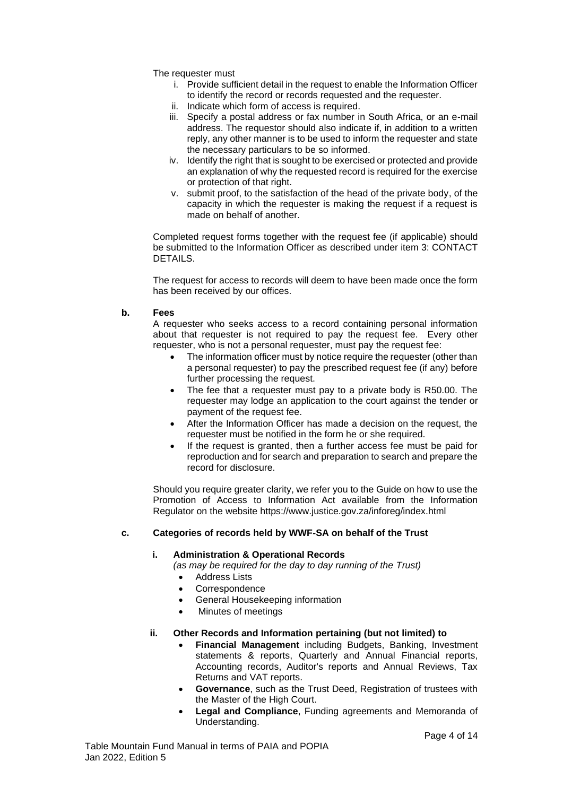The requester must

- i. Provide sufficient detail in the request to enable the Information Officer to identify the record or records requested and the requester.
- ii. Indicate which form of access is required.
- iii. Specify a postal address or fax number in South Africa, or an e-mail address. The requestor should also indicate if, in addition to a written reply, any other manner is to be used to inform the requester and state the necessary particulars to be so informed.
- iv. Identify the right that is sought to be exercised or protected and provide an explanation of why the requested record is required for the exercise or protection of that right.
- v. submit proof, to the satisfaction of the head of the private body, of the capacity in which the requester is making the request if a request is made on behalf of another.

Completed request forms together with the request fee (if applicable) should be submitted to the Information Officer as described under item 3: CONTACT DETAILS.

The request for access to records will deem to have been made once the form has been received by our offices.

#### <span id="page-3-0"></span>**b. Fees**

A requester who seeks access to a record containing personal information about that requester is not required to pay the request fee. Every other requester, who is not a personal requester, must pay the request fee:

- The information officer must by notice require the requester (other than a personal requester) to pay the prescribed request fee (if any) before further processing the request.
- The fee that a requester must pay to a private body is R50.00. The requester may lodge an application to the court against the tender or payment of the request fee.
- After the Information Officer has made a decision on the request, the requester must be notified in the form he or she required.
- If the request is granted, then a further access fee must be paid for reproduction and for search and preparation to search and prepare the record for disclosure.

Should you require greater clarity, we refer you to the Guide on how to use the Promotion of Access to Information Act available from the Information Regulator on the website https://www.justice.gov.za/inforeg/index.html

### <span id="page-3-1"></span>**c. Categories of records held by WWF-SA on behalf of the Trust**

#### **i. Administration & Operational Records**

*(as may be required for the day to day running of the Trust)*

- **Address Lists**
- **Correspondence**
- General Housekeeping information
- Minutes of meetings

#### **ii. Other Records and Information pertaining (but not limited) to**

- **Financial Management** including Budgets, Banking, Investment statements & reports, Quarterly and Annual Financial reports, Accounting records, Auditor's reports and Annual Reviews, Tax Returns and VAT reports.
- **Governance**, such as the Trust Deed, Registration of trustees with the Master of the High Court.
- **Legal and Compliance**, Funding agreements and Memoranda of Understanding.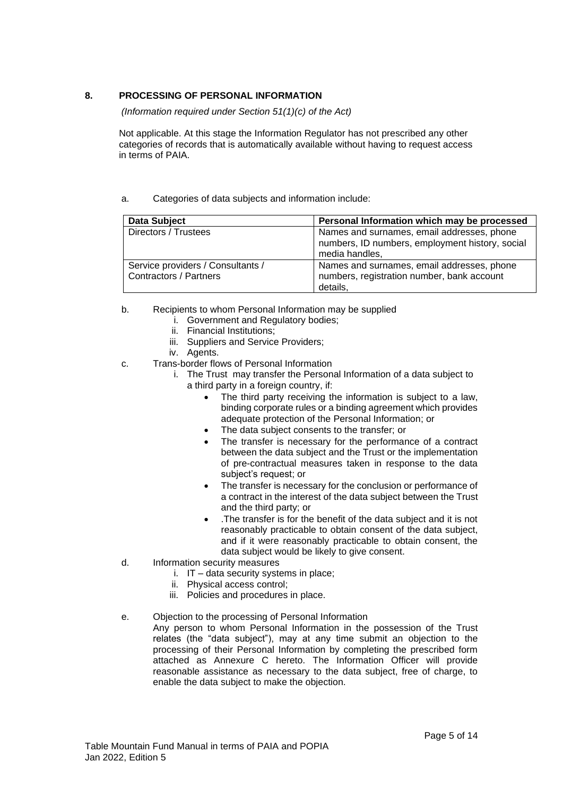# <span id="page-4-0"></span>**8. PROCESSING OF PERSONAL INFORMATION**

*(Information required under Section 51(1)(c) of the Act)*

Not applicable. At this stage the Information Regulator has not prescribed any other categories of records that is automatically available without having to request access in terms of PAIA.

### <span id="page-4-1"></span>a. Categories of data subjects and information include:

| <b>Data Subject</b>                                                | Personal Information which may be processed                                                                     |
|--------------------------------------------------------------------|-----------------------------------------------------------------------------------------------------------------|
| Directors / Trustees                                               | Names and surnames, email addresses, phone<br>numbers, ID numbers, employment history, social<br>media handles, |
| Service providers / Consultants /<br><b>Contractors / Partners</b> | Names and surnames, email addresses, phone<br>numbers, registration number, bank account<br>details.            |

- <span id="page-4-2"></span>b. Recipients to whom Personal Information may be supplied
	- i. Government and Regulatory bodies;
	- ii. Financial Institutions;
	- iii. Suppliers and Service Providers;
	- iv. Agents.
- <span id="page-4-3"></span>c. Trans-border flows of Personal Information
	- i. The Trust may transfer the Personal Information of a data subject to a third party in a foreign country, if:
		- The third party receiving the information is subject to a law, binding corporate rules or a binding agreement which provides adequate protection of the Personal Information; or
		- The data subject consents to the transfer; or
		- The transfer is necessary for the performance of a contract between the data subject and the Trust or the implementation of pre-contractual measures taken in response to the data subject's request; or
		- The transfer is necessary for the conclusion or performance of a contract in the interest of the data subject between the Trust and the third party; or
		- .The transfer is for the benefit of the data subject and it is not reasonably practicable to obtain consent of the data subject, and if it were reasonably practicable to obtain consent, the data subject would be likely to give consent.
- <span id="page-4-4"></span>d. Information security measures
	- i. IT data security systems in place;
	- ii. Physical access control;
	- iii. Policies and procedures in place.
- <span id="page-4-5"></span>e. Objection to the processing of Personal Information

Any person to whom Personal Information in the possession of the Trust relates (the "data subject"), may at any time submit an objection to the processing of their Personal Information by completing the prescribed form attached as Annexure C hereto. The Information Officer will provide reasonable assistance as necessary to the data subject, free of charge, to enable the data subject to make the objection.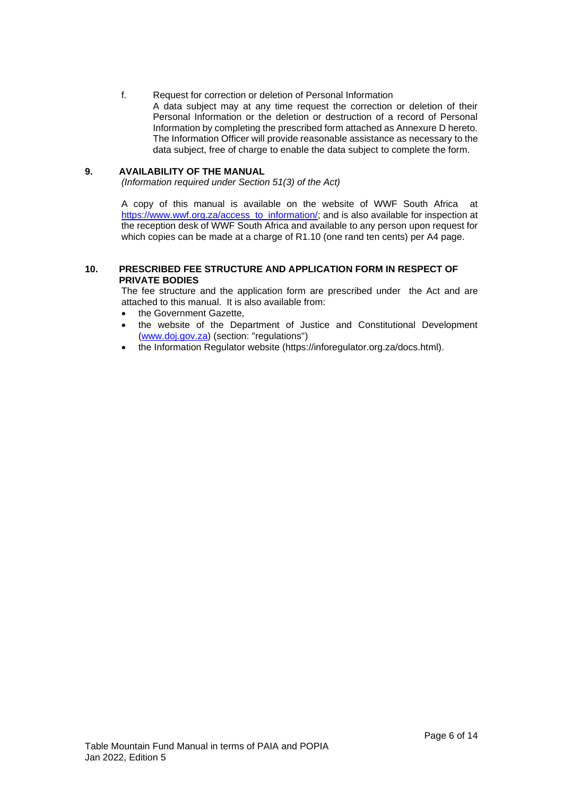### <span id="page-5-0"></span>f. Request for correction or deletion of Personal Information

A data subject may at any time request the correction or deletion of their Personal Information or the deletion or destruction of a record of Personal Information by completing the prescribed form attached as Annexure D hereto. The Information Officer will provide reasonable assistance as necessary to the data subject, free of charge to enable the data subject to complete the form.

### <span id="page-5-1"></span>**9. AVAILABILITY OF THE MANUAL**

*(Information required under Section 51(3) of the Act)*

A copy of this manual is available on the website of WWF South Africa at [https://www.wwf.org.za/access\\_to\\_information/;](https://www.wwf.org.za/access_to_information/) and is also available for inspection at the reception desk of WWF South Africa and available to any person upon request for which copies can be made at a charge of R1.10 (one rand ten cents) per A4 page.

### <span id="page-5-2"></span>**10. PRESCRIBED FEE STRUCTURE AND APPLICATION FORM IN RESPECT OF PRIVATE BODIES**

The fee structure and the application form are prescribed under the Act and are attached to this manual. It is also available from:

- the Government Gazette.
- the website of the Department of Justice and Constitutional Development [\(www.doj.gov.za\)](http://www.doj.gov.za/) (section: "regulations")
- the Information Regulator website (https://inforegulator.org.za/docs.html).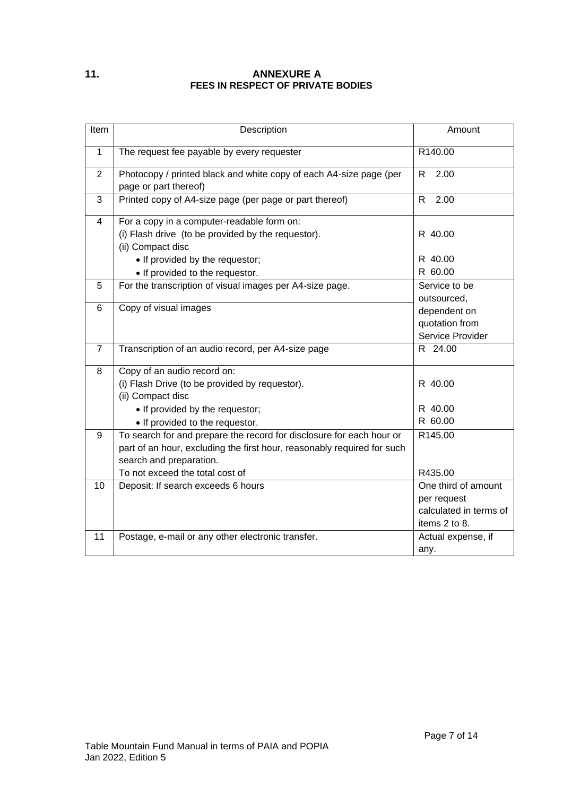# <span id="page-6-0"></span>**11. ANNEXURE A FEES IN RESPECT OF PRIVATE BODIES**

| Item           | Description                                                                                                                                                                                                   | Amount                                                                        |
|----------------|---------------------------------------------------------------------------------------------------------------------------------------------------------------------------------------------------------------|-------------------------------------------------------------------------------|
| $\mathbf{1}$   | The request fee payable by every requester                                                                                                                                                                    | R140.00                                                                       |
| $\overline{2}$ | Photocopy / printed black and white copy of each A4-size page (per<br>page or part thereof)                                                                                                                   | R<br>2.00                                                                     |
| 3              | Printed copy of A4-size page (per page or part thereof)                                                                                                                                                       | R.<br>2.00                                                                    |
| $\overline{4}$ | For a copy in a computer-readable form on:<br>(i) Flash drive (to be provided by the requestor).<br>(ii) Compact disc                                                                                         | R 40.00                                                                       |
|                | • If provided by the requestor;<br>• If provided to the requestor.                                                                                                                                            | R 40.00<br>R 60.00                                                            |
| 5              | For the transcription of visual images per A4-size page.                                                                                                                                                      | Service to be<br>outsourced,                                                  |
| 6              | Copy of visual images                                                                                                                                                                                         | dependent on<br>quotation from<br>Service Provider                            |
| $\overline{7}$ | Transcription of an audio record, per A4-size page                                                                                                                                                            | R 24.00                                                                       |
| 8              | Copy of an audio record on:<br>(i) Flash Drive (to be provided by requestor).<br>(ii) Compact disc<br>• If provided by the requestor;<br>• If provided to the requestor.                                      | R 40.00<br>R 40.00<br>R 60.00                                                 |
| 9              | To search for and prepare the record for disclosure for each hour or<br>part of an hour, excluding the first hour, reasonably required for such<br>search and preparation.<br>To not exceed the total cost of | R145.00<br>R435.00                                                            |
| 10             | Deposit: If search exceeds 6 hours                                                                                                                                                                            | One third of amount<br>per request<br>calculated in terms of<br>items 2 to 8. |
| 11             | Postage, e-mail or any other electronic transfer.                                                                                                                                                             | Actual expense, if<br>any.                                                    |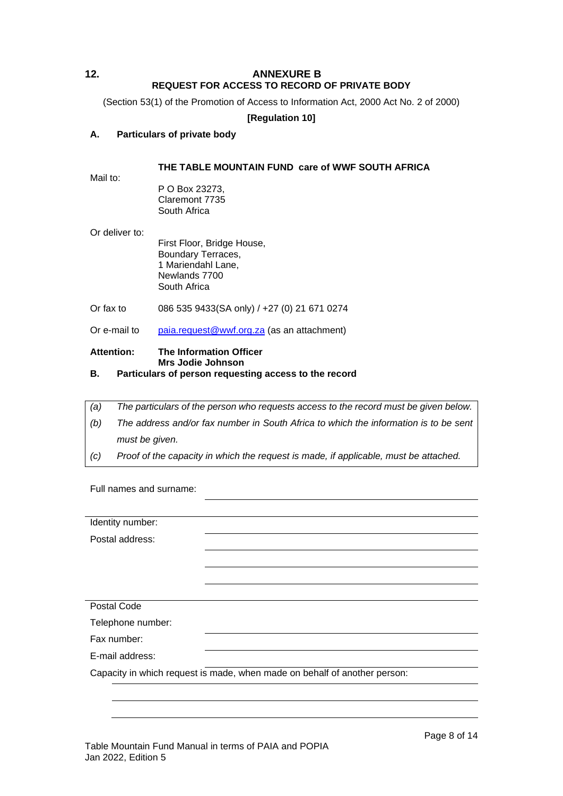# <span id="page-7-0"></span>**12. ANNEXURE B REQUEST FOR ACCESS TO RECORD OF PRIVATE BODY**

(Section 53(1) of the Promotion of Access to Information Act, 2000 Act No. 2 of 2000)

# **[Regulation 10]**

# **A. Particulars of private body**

### **THE TABLE MOUNTAIN FUND care of WWF SOUTH AFRICA**

Mail to:

P O Box 23273, Claremont 7735 South Africa

Or deliver to:

First Floor, Bridge House, Boundary Terraces, 1 Mariendahl Lane, Newlands 7700 South Africa

Or fax to 086 535 9433(SA only) / +27 (0) 21 671 0274

Or e-mail to [paia.request@wwf.org.za](mailto:paia.request@wwf.org.za) (as an attachment)

#### **Attention: The Information Officer Mrs Jodie Johnson**

# **B. Particulars of person requesting access to the record**

| (a) | The particulars of the person who requests access to the record must be given below. |
|-----|--------------------------------------------------------------------------------------|
| (b) | The address and/or fax number in South Africa to which the information is to be sent |
|     | must be given.                                                                       |
| (C) | Proof of the capacity in which the request is made, if applicable, must be attached. |

Full names and surname:

| Identity number:  |                                                                           |
|-------------------|---------------------------------------------------------------------------|
| Postal address:   |                                                                           |
|                   |                                                                           |
|                   |                                                                           |
|                   |                                                                           |
| Postal Code       |                                                                           |
| Telephone number: |                                                                           |
| Fax number:       |                                                                           |
| E-mail address:   |                                                                           |
|                   | Capacity in which request is made, when made on behalf of another person: |
|                   |                                                                           |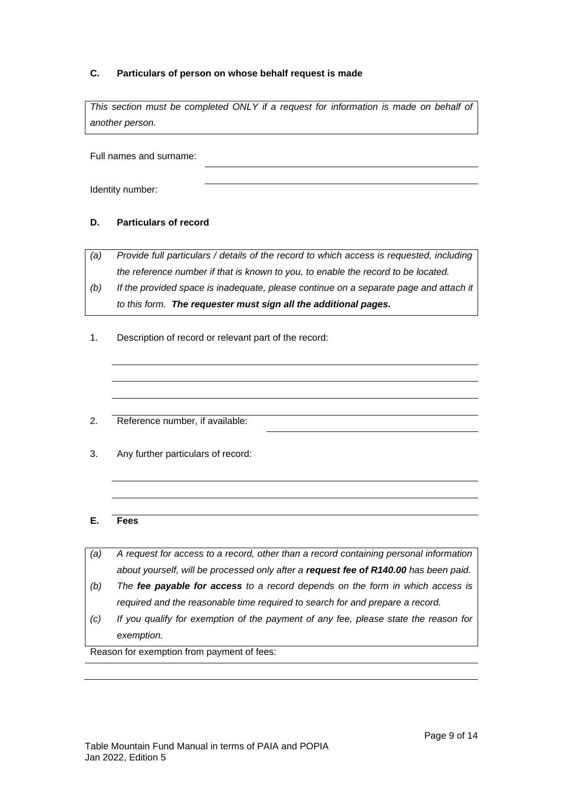# **C. Particulars of person on whose behalf request is made**

This section must be completed ONLY if a request for information is made on behalf of *another person.*

Full names and surname:

Identity number:

# **D. Particulars of record**

*(a) Provide full particulars / details of the record to which access is requested, including the reference number if that is known to you, to enable the record to be located.*

- *(b) If the provided space is inadequate, please continue on a separate page and attach it to this form. The requester must sign all the additional pages.*
- 1. Description of record or relevant part of the record:
- 2. Reference number, if available:
- 3. Any further particulars of record:

### **E. Fees**

- *(a) A request for access to a record, other than a record containing personal information about yourself, will be processed only after a request fee of R140.00 has been paid.*
- *(b) The fee payable for access to a record depends on the form in which access is required and the reasonable time required to search for and prepare a record.*
- *(c) If you qualify for exemption of the payment of any fee, please state the reason for exemption.*

Reason for exemption from payment of fees: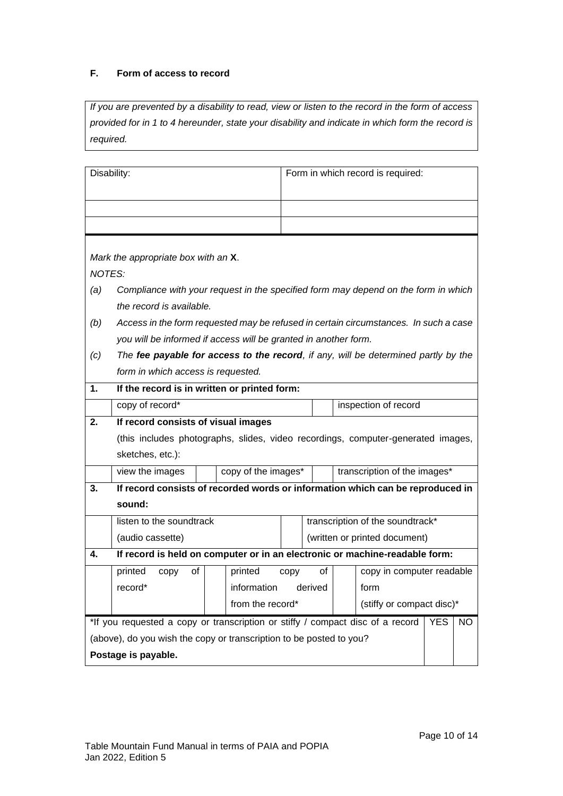# **F. Form of access to record**

*If you are prevented by a disability to read, view or listen to the record in the form of access provided for in 1 to 4 hereunder, state your disability and indicate in which form the record is required.*

|                                                                                                     | Disability:                                                                          |                                               |                               |    |  | Form in which record is required: |  |  |
|-----------------------------------------------------------------------------------------------------|--------------------------------------------------------------------------------------|-----------------------------------------------|-------------------------------|----|--|-----------------------------------|--|--|
|                                                                                                     |                                                                                      |                                               |                               |    |  |                                   |  |  |
|                                                                                                     |                                                                                      |                                               |                               |    |  |                                   |  |  |
|                                                                                                     |                                                                                      |                                               |                               |    |  |                                   |  |  |
|                                                                                                     | Mark the appropriate box with an X.                                                  |                                               |                               |    |  |                                   |  |  |
| <b>NOTES:</b>                                                                                       |                                                                                      |                                               |                               |    |  |                                   |  |  |
| (a)                                                                                                 | Compliance with your request in the specified form may depend on the form in which   |                                               |                               |    |  |                                   |  |  |
|                                                                                                     | the record is available.                                                             |                                               |                               |    |  |                                   |  |  |
| (b)                                                                                                 | Access in the form requested may be refused in certain circumstances. In such a case |                                               |                               |    |  |                                   |  |  |
|                                                                                                     | you will be informed if access will be granted in another form.                      |                                               |                               |    |  |                                   |  |  |
| (c)                                                                                                 | The fee payable for access to the record, if any, will be determined partly by the   |                                               |                               |    |  |                                   |  |  |
|                                                                                                     | form in which access is requested.                                                   |                                               |                               |    |  |                                   |  |  |
| 1.                                                                                                  | If the record is in written or printed form:                                         |                                               |                               |    |  |                                   |  |  |
|                                                                                                     | copy of record*<br>inspection of record                                              |                                               |                               |    |  |                                   |  |  |
| 2.                                                                                                  | If record consists of visual images                                                  |                                               |                               |    |  |                                   |  |  |
|                                                                                                     | (this includes photographs, slides, video recordings, computer-generated images,     |                                               |                               |    |  |                                   |  |  |
|                                                                                                     | sketches, etc.):                                                                     |                                               |                               |    |  |                                   |  |  |
|                                                                                                     | view the images                                                                      | copy of the images*                           |                               |    |  | transcription of the images*      |  |  |
| 3.                                                                                                  | If record consists of recorded words or information which can be reproduced in       |                                               |                               |    |  |                                   |  |  |
|                                                                                                     | sound:                                                                               |                                               |                               |    |  |                                   |  |  |
|                                                                                                     | listen to the soundtrack                                                             |                                               |                               |    |  | transcription of the soundtrack*  |  |  |
|                                                                                                     | (audio cassette)                                                                     |                                               | (written or printed document) |    |  |                                   |  |  |
| 4.                                                                                                  | If record is held on computer or in an electronic or machine-readable form:          |                                               |                               |    |  |                                   |  |  |
|                                                                                                     | printed<br>0f<br>copy                                                                | printed                                       | copy                          | of |  | copy in computer readable         |  |  |
|                                                                                                     | record*                                                                              | information derived                           |                               |    |  | form                              |  |  |
|                                                                                                     |                                                                                      | from the record*<br>(stiffy or compact disc)* |                               |    |  |                                   |  |  |
| *If you requested a copy or transcription or stiffy / compact disc of a record<br><b>YES</b><br>NO. |                                                                                      |                                               |                               |    |  |                                   |  |  |
|                                                                                                     | (above), do you wish the copy or transcription to be posted to you?                  |                                               |                               |    |  |                                   |  |  |
|                                                                                                     | Postage is payable.                                                                  |                                               |                               |    |  |                                   |  |  |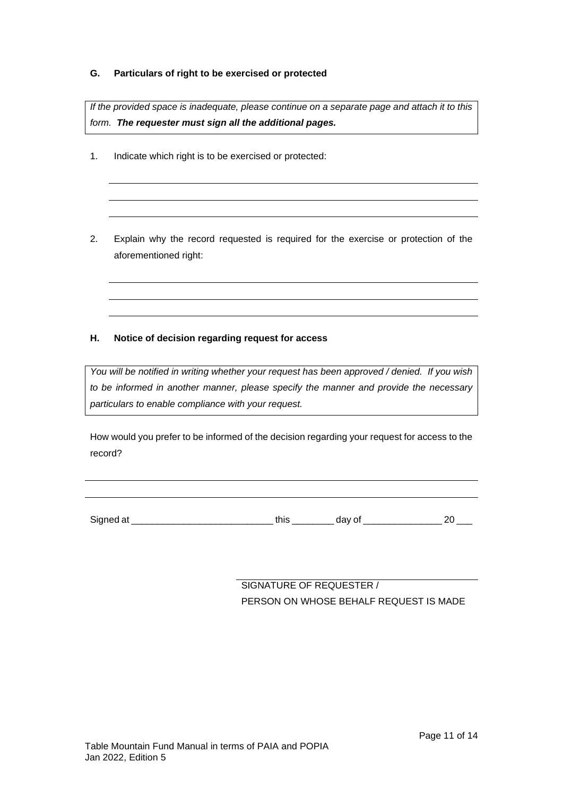# **G. Particulars of right to be exercised or protected**

*If the provided space is inadequate, please continue on a separate page and attach it to this form. The requester must sign all the additional pages.*

- 1. Indicate which right is to be exercised or protected:
- 2. Explain why the record requested is required for the exercise or protection of the aforementioned right:

# **H. Notice of decision regarding request for access**

*You will be notified in writing whether your request has been approved / denied. If you wish to be informed in another manner, please specify the manner and provide the necessary particulars to enable compliance with your request.*

How would you prefer to be informed of the decision regarding your request for access to the record?

Signed at \_\_\_\_\_\_\_\_\_\_\_\_\_\_\_\_\_\_\_\_\_\_\_\_\_\_\_ this \_\_\_\_\_\_\_\_ day of \_\_\_\_\_\_\_\_\_\_\_\_\_\_\_ 20 \_\_\_

SIGNATURE OF REQUESTER / PERSON ON WHOSE BEHALF REQUEST IS MADE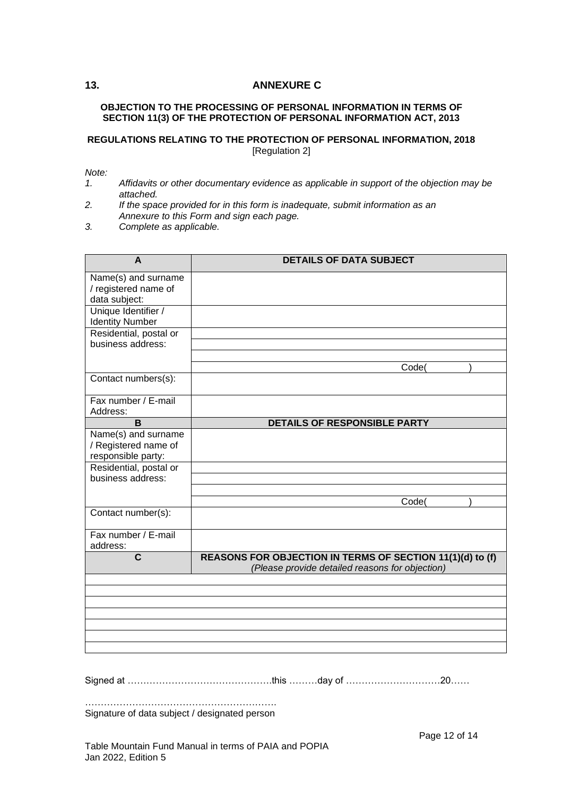# <span id="page-11-0"></span>**13. ANNEXURE C**

### **OBJECTION TO THE PROCESSING OF PERSONAL INFORMATION IN TERMS OF SECTION 11(3) OF THE PROTECTION OF PERSONAL INFORMATION ACT, 2013**

### **REGULATIONS RELATING TO THE PROTECTION OF PERSONAL INFORMATION, 2018** [Regulation 2]

*Note:*

- *1. Affidavits or other documentary evidence as applicable in support of the objection may be attached.*
- *2. If the space provided for in this form is inadequate, submit information as an Annexure to this Form and sign each page.*

*3. Complete as applicable.*

| A                                    | <b>DETAILS OF DATA SUBJECT</b>                                                                               |
|--------------------------------------|--------------------------------------------------------------------------------------------------------------|
| Name(s) and surname                  |                                                                                                              |
| / registered name of                 |                                                                                                              |
| data subject:<br>Unique Identifier / |                                                                                                              |
| <b>Identity Number</b>               |                                                                                                              |
| Residential, postal or               |                                                                                                              |
| business address:                    |                                                                                                              |
|                                      |                                                                                                              |
|                                      | Code(                                                                                                        |
| Contact numbers(s):                  |                                                                                                              |
|                                      |                                                                                                              |
| Fax number / E-mail<br>Address:      |                                                                                                              |
| B                                    | <b>DETAILS OF RESPONSIBLE PARTY</b>                                                                          |
| Name(s) and surname                  |                                                                                                              |
| / Registered name of                 |                                                                                                              |
| responsible party:                   |                                                                                                              |
| Residential, postal or               |                                                                                                              |
| business address:                    |                                                                                                              |
|                                      |                                                                                                              |
|                                      | Code(                                                                                                        |
| Contact number(s):                   |                                                                                                              |
| Fax number / E-mail                  |                                                                                                              |
| address:                             |                                                                                                              |
| $\overline{c}$                       | REASONS FOR OBJECTION IN TERMS OF SECTION 11(1)(d) to (f)<br>(Please provide detailed reasons for objection) |
|                                      |                                                                                                              |
|                                      |                                                                                                              |
|                                      |                                                                                                              |
|                                      |                                                                                                              |
|                                      |                                                                                                              |
|                                      |                                                                                                              |
|                                      |                                                                                                              |

Signed at ……………………………………….this ………day of …………………………20……

……………………………………………………. Signature of data subject / designated person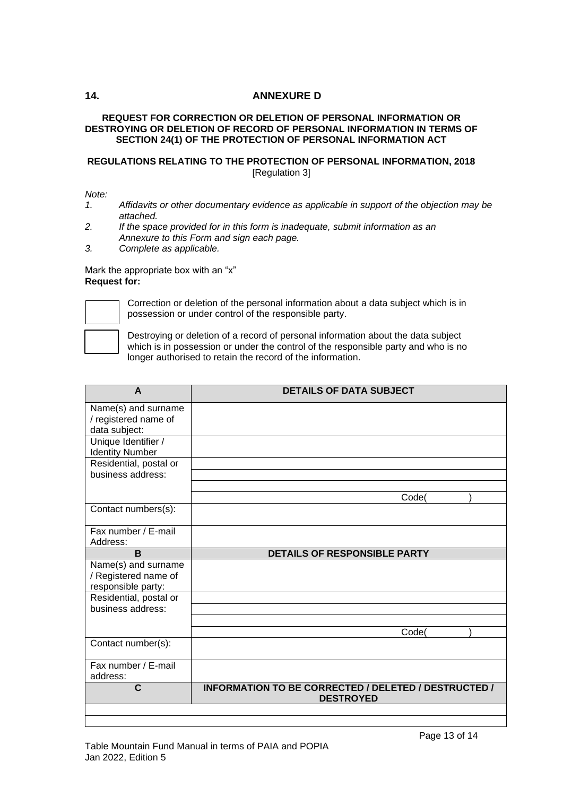# <span id="page-12-0"></span>**14. ANNEXURE D**

### **REQUEST FOR CORRECTION OR DELETION OF PERSONAL INFORMATION OR DESTROYING OR DELETION OF RECORD OF PERSONAL INFORMATION IN TERMS OF SECTION 24(1) OF THE PROTECTION OF PERSONAL INFORMATION ACT**

# **REGULATIONS RELATING TO THE PROTECTION OF PERSONAL INFORMATION, 2018** [Regulation 3]

*Note:*

- *1. Affidavits or other documentary evidence as applicable in support of the objection may be attached.*
- *2. If the space provided for in this form is inadequate, submit information as an Annexure to this Form and sign each page.*
- *3. Complete as applicable.*

Mark the appropriate box with an "x" **Request for:** 



Correction or deletion of the personal information about a data subject which is in possession or under control of the responsible party.

Destroying or deletion of a record of personal information about the data subject which is in possession or under the control of the responsible party and who is no longer authorised to retain the record of the information.

| A                                                                 | <b>DETAILS OF DATA SUBJECT</b>                                           |
|-------------------------------------------------------------------|--------------------------------------------------------------------------|
| Name(s) and surname<br>/ registered name of<br>data subject:      |                                                                          |
| Unique Identifier /<br><b>Identity Number</b>                     |                                                                          |
| Residential, postal or<br>business address:                       |                                                                          |
|                                                                   | Code(                                                                    |
| Contact numbers(s):                                               |                                                                          |
| Fax number / E-mail<br>Address:                                   |                                                                          |
| B                                                                 | <b>DETAILS OF RESPONSIBLE PARTY</b>                                      |
| Name(s) and surname<br>/ Registered name of<br>responsible party: |                                                                          |
| Residential, postal or                                            |                                                                          |
| business address:                                                 |                                                                          |
|                                                                   | Code(                                                                    |
| Contact number(s):                                                |                                                                          |
| Fax number / E-mail<br>address:                                   |                                                                          |
| $\mathbf c$                                                       | INFORMATION TO BE CORRECTED / DELETED / DESTRUCTED /<br><b>DESTROYED</b> |
|                                                                   |                                                                          |

### Table Mountain Fund Manual in terms of PAIA and POPIA Jan 2022, Edition 5